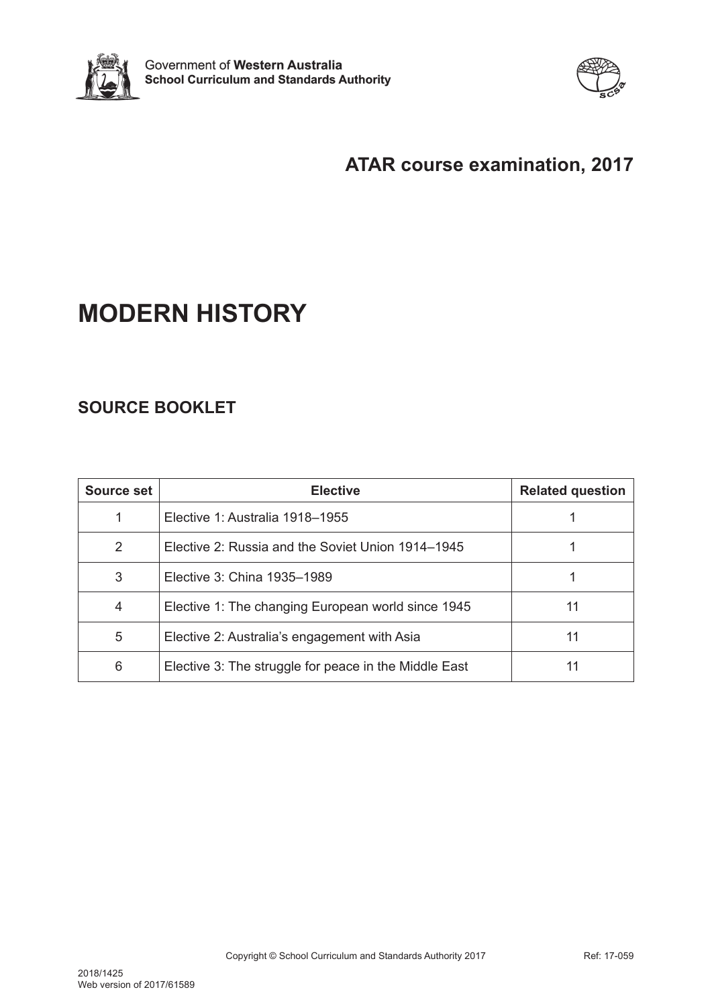



# **ATAR course examination, 2017**

# **MODERN HISTORY**

# **SOURCE BOOKLET**

| Source set    | <b>Elective</b>                                       | <b>Related question</b> |
|---------------|-------------------------------------------------------|-------------------------|
|               | Elective 1: Australia 1918–1955                       |                         |
| $\mathcal{P}$ | Elective 2: Russia and the Soviet Union 1914–1945     |                         |
| 3             | Elective 3: China 1935-1989                           |                         |
| 4             | Elective 1: The changing European world since 1945    | 11                      |
| 5             | Elective 2: Australia's engagement with Asia          | 11                      |
| 6             | Elective 3: The struggle for peace in the Middle East | 11                      |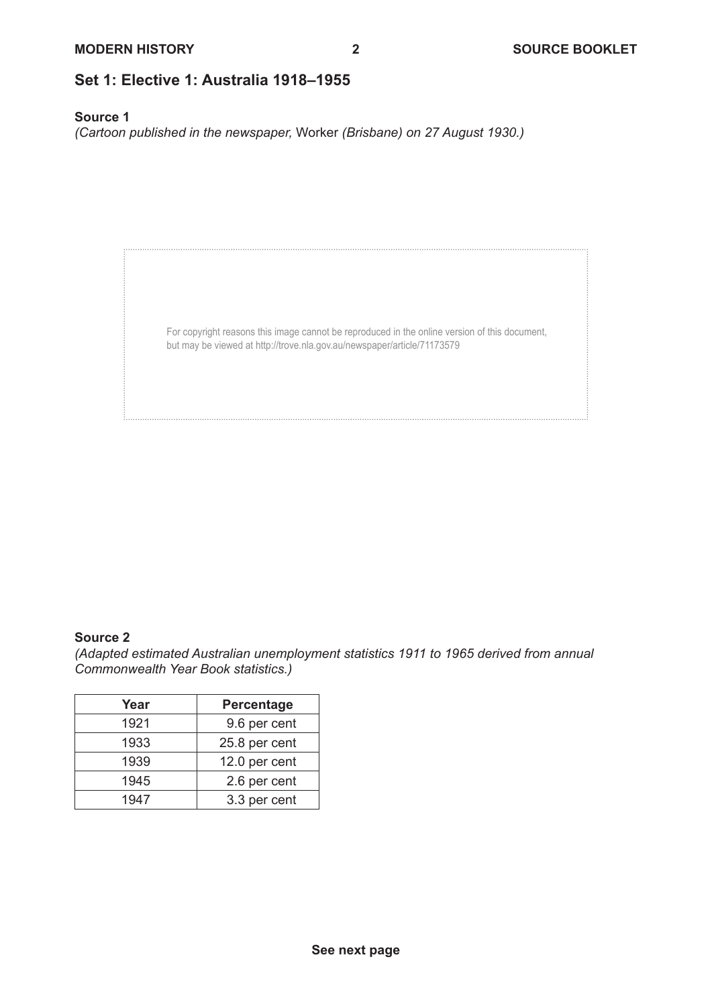# **Set 1: Elective 1: Australia 1918–1955**

#### **Source 1**

*(Cartoon published in the newspaper,* Worker *(Brisbane) on 27 August 1930.)*

For copyright reasons this image cannot be reproduced in the online version of this document, but may be viewed at http://trove.nla.gov.au/newspaper/article/71173579

#### **Source 2**

*(Adapted estimated Australian unemployment statistics 1911 to 1965 derived from annual Commonwealth Year Book statistics.)*

| Year | Percentage    |
|------|---------------|
| 1921 | 9.6 per cent  |
| 1933 | 25.8 per cent |
| 1939 | 12.0 per cent |
| 1945 | 2.6 per cent  |
| 1947 | 3.3 per cent  |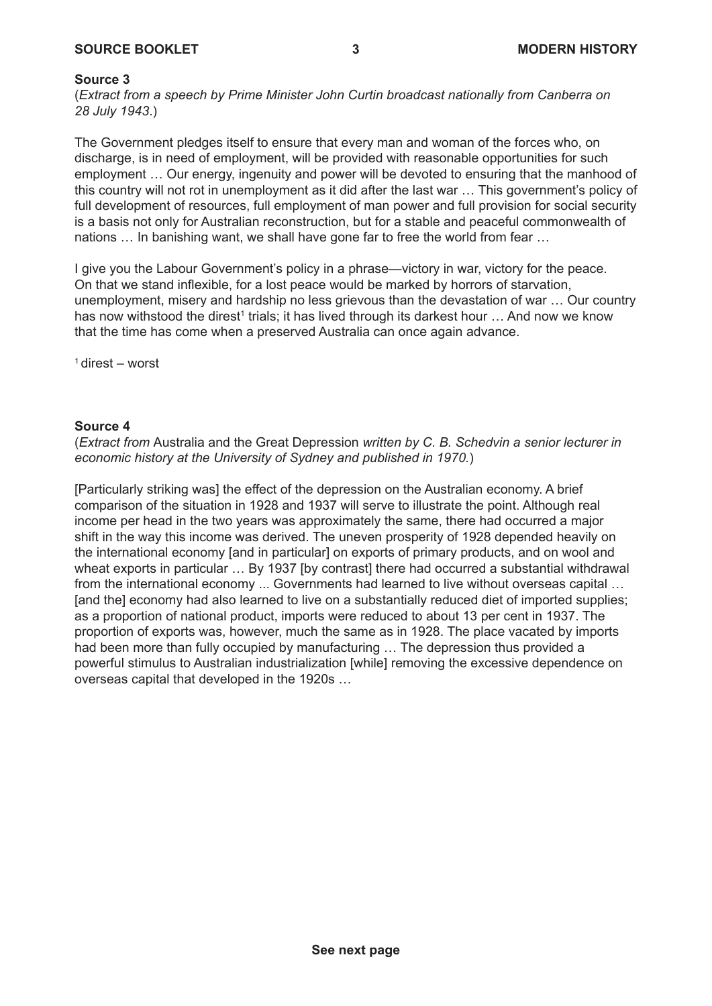### **SOURCE BOOKLET 3 MODERN HISTORY**

#### **Source 3**

(*Extract from a speech by Prime Minister John Curtin broadcast nationally from Canberra on 28 July 1943*.)

The Government pledges itself to ensure that every man and woman of the forces who, on discharge, is in need of employment, will be provided with reasonable opportunities for such employment … Our energy, ingenuity and power will be devoted to ensuring that the manhood of this country will not rot in unemployment as it did after the last war … This government's policy of full development of resources, full employment of man power and full provision for social security is a basis not only for Australian reconstruction, but for a stable and peaceful commonwealth of nations … In banishing want, we shall have gone far to free the world from fear …

I give you the Labour Government's policy in a phrase—victory in war, victory for the peace. On that we stand inflexible, for a lost peace would be marked by horrors of starvation, unemployment, misery and hardship no less grievous than the devastation of war … Our country has now withstood the direst<sup>1</sup> trials; it has lived through its darkest hour … And now we know that the time has come when a preserved Australia can once again advance.

 $1$  direst – worst

#### **Source 4**

(*Extract from* Australia and the Great Depression *written by C. B. Schedvin a senior lecturer in economic history at the University of Sydney and published in 1970.*)

[Particularly striking was] the effect of the depression on the Australian economy. A brief comparison of the situation in 1928 and 1937 will serve to illustrate the point. Although real income per head in the two years was approximately the same, there had occurred a major shift in the way this income was derived. The uneven prosperity of 1928 depended heavily on the international economy [and in particular] on exports of primary products, and on wool and wheat exports in particular ... By 1937 [by contrast] there had occurred a substantial withdrawal from the international economy ... Governments had learned to live without overseas capital … [and the] economy had also learned to live on a substantially reduced diet of imported supplies; as a proportion of national product, imports were reduced to about 13 per cent in 1937. The proportion of exports was, however, much the same as in 1928. The place vacated by imports had been more than fully occupied by manufacturing … The depression thus provided a powerful stimulus to Australian industrialization [while] removing the excessive dependence on overseas capital that developed in the 1920s …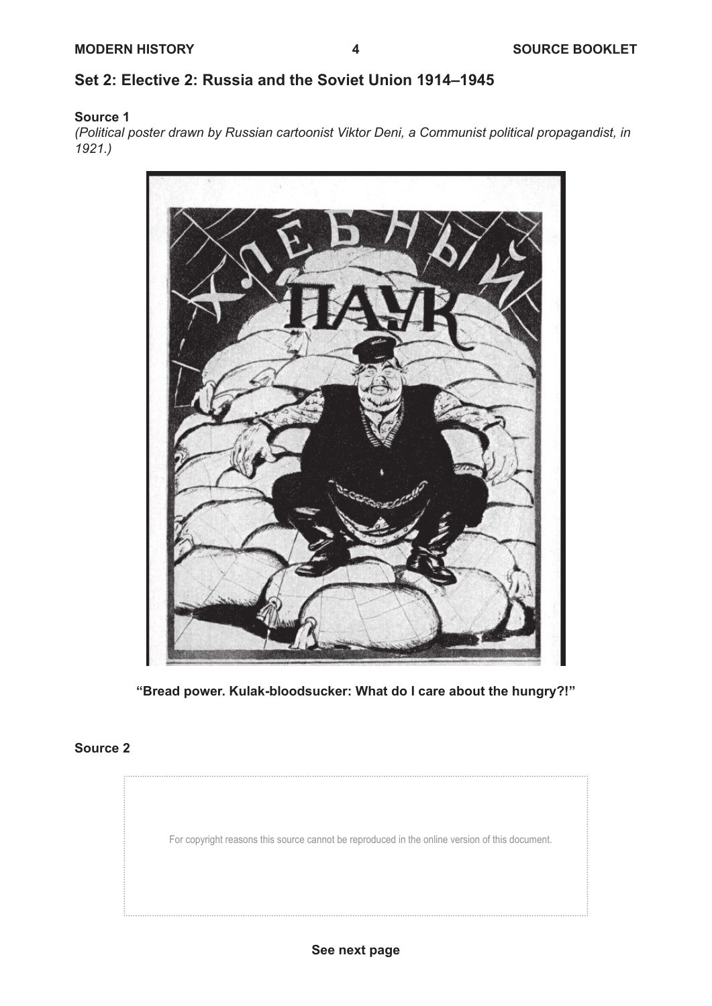# **Set 2: Elective 2: Russia and the Soviet Union 1914–1945**

# **Source 1**

*(Political poster drawn by Russian cartoonist Viktor Deni, a Communist political propagandist, in 1921.)*



**"Bread power. Kulak-bloodsucker: What do I care about the hungry?!"**

# **Source 2**

For copyright reasons this source cannot be reproduced in the online version of this document.

## **See next page**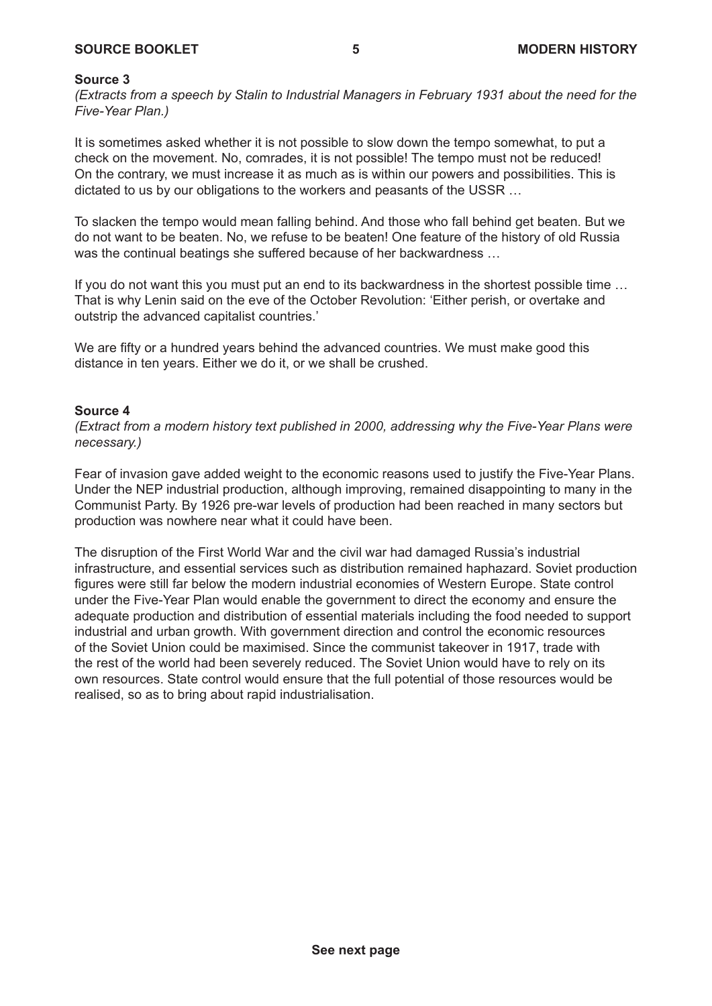## **SOURCE BOOKLET 5 MODERN HISTORY**

#### **Source 3**

*(Extracts from a speech by Stalin to Industrial Managers in February 1931 about the need for the Five-Year Plan.)*

It is sometimes asked whether it is not possible to slow down the tempo somewhat, to put a check on the movement. No, comrades, it is not possible! The tempo must not be reduced! On the contrary, we must increase it as much as is within our powers and possibilities. This is dictated to us by our obligations to the workers and peasants of the USSR …

To slacken the tempo would mean falling behind. And those who fall behind get beaten. But we do not want to be beaten. No, we refuse to be beaten! One feature of the history of old Russia was the continual beatings she suffered because of her backwardness …

If you do not want this you must put an end to its backwardness in the shortest possible time … That is why Lenin said on the eve of the October Revolution: 'Either perish, or overtake and outstrip the advanced capitalist countries.'

We are fifty or a hundred years behind the advanced countries. We must make good this distance in ten years. Either we do it, or we shall be crushed.

#### **Source 4**

*(Extract from a modern history text published in 2000, addressing why the Five-Year Plans were necessary.)*

Fear of invasion gave added weight to the economic reasons used to justify the Five-Year Plans. Under the NEP industrial production, although improving, remained disappointing to many in the Communist Party. By 1926 pre-war levels of production had been reached in many sectors but production was nowhere near what it could have been.

The disruption of the First World War and the civil war had damaged Russia's industrial infrastructure, and essential services such as distribution remained haphazard. Soviet production figures were still far below the modern industrial economies of Western Europe. State control under the Five-Year Plan would enable the government to direct the economy and ensure the adequate production and distribution of essential materials including the food needed to support industrial and urban growth. With government direction and control the economic resources of the Soviet Union could be maximised. Since the communist takeover in 1917, trade with the rest of the world had been severely reduced. The Soviet Union would have to rely on its own resources. State control would ensure that the full potential of those resources would be realised, so as to bring about rapid industrialisation.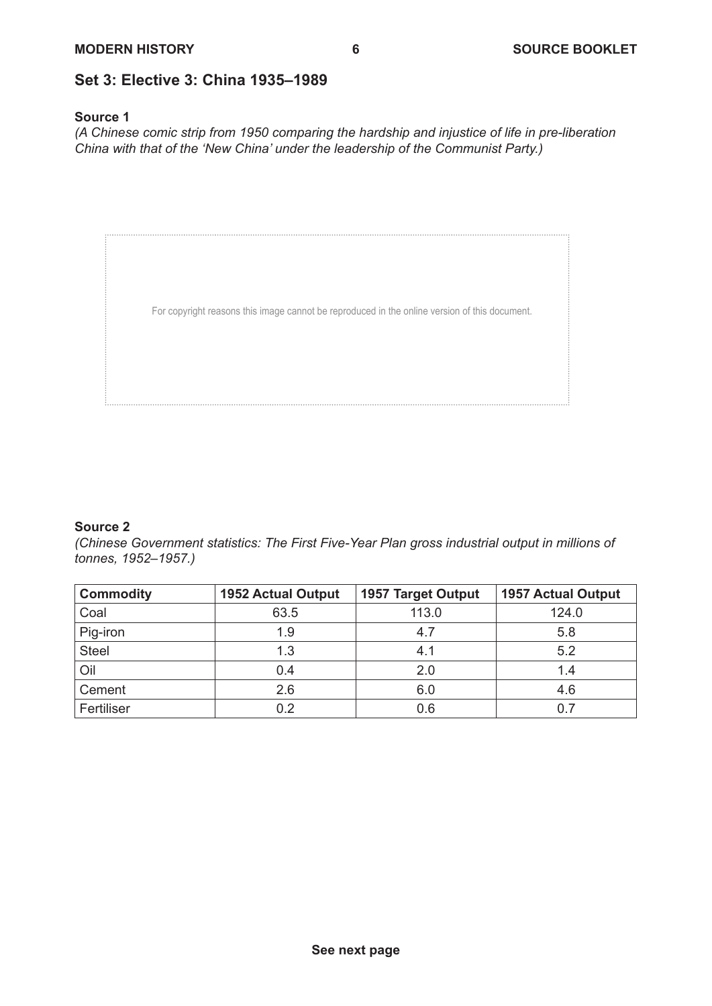# **Set 3: Elective 3: China 1935–1989**

## **Source 1**

*(A Chinese comic strip from 1950 comparing the hardship and injustice of life in pre-liberation China with that of the 'New China' under the leadership of the Communist Party.)*

For copyright reasons this image cannot be reproduced in the online version of this document.

#### **Source 2**

*(Chinese Government statistics: The First Five-Year Plan gross industrial output in millions of tonnes, 1952–1957.)*

| <b>Commodity</b> | <b>1952 Actual Output</b> | <b>1957 Target Output</b> | <b>1957 Actual Output</b> |
|------------------|---------------------------|---------------------------|---------------------------|
| Coal             | 63.5                      | 113.0                     | 124.0                     |
| Pig-iron         | 1.9                       | 4.7                       | 5.8                       |
| <b>Steel</b>     | 1.3                       | 4.1                       | 5.2                       |
| Oil              | 0.4                       | 2.0                       | 1.4                       |
| Cement           | 2.6                       | 6.0                       | 4.6                       |
| Fertiliser       | 0.2                       | 0.6                       | 0.7                       |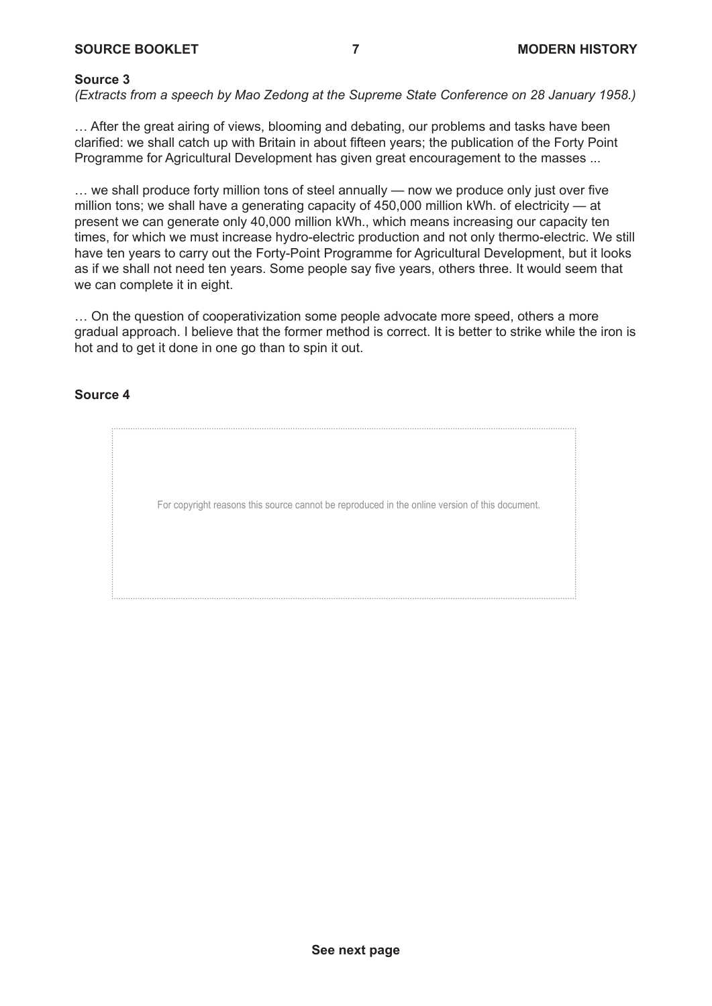# **SOURCE BOOKLET 7 MODERN HISTORY**

#### **Source 3**

*(Extracts from a speech by Mao Zedong at the Supreme State Conference on 28 January 1958.)*

… After the great airing of views, blooming and debating, our problems and tasks have been clarified: we shall catch up with Britain in about fifteen years; the publication of the Forty Point Programme for Agricultural Development has given great encouragement to the masses ...

… we shall produce forty million tons of steel annually — now we produce only just over five million tons; we shall have a generating capacity of 450,000 million kWh. of electricity — at present we can generate only 40,000 million kWh., which means increasing our capacity ten times, for which we must increase hydro-electric production and not only thermo-electric. We still have ten years to carry out the Forty-Point Programme for Agricultural Development, but it looks as if we shall not need ten years. Some people say five years, others three. It would seem that we can complete it in eight.

… On the question of cooperativization some people advocate more speed, others a more gradual approach. I believe that the former method is correct. It is better to strike while the iron is hot and to get it done in one go than to spin it out.

#### **Source 4**

For copyright reasons this source cannot be reproduced in the online version of this document.

**See next page**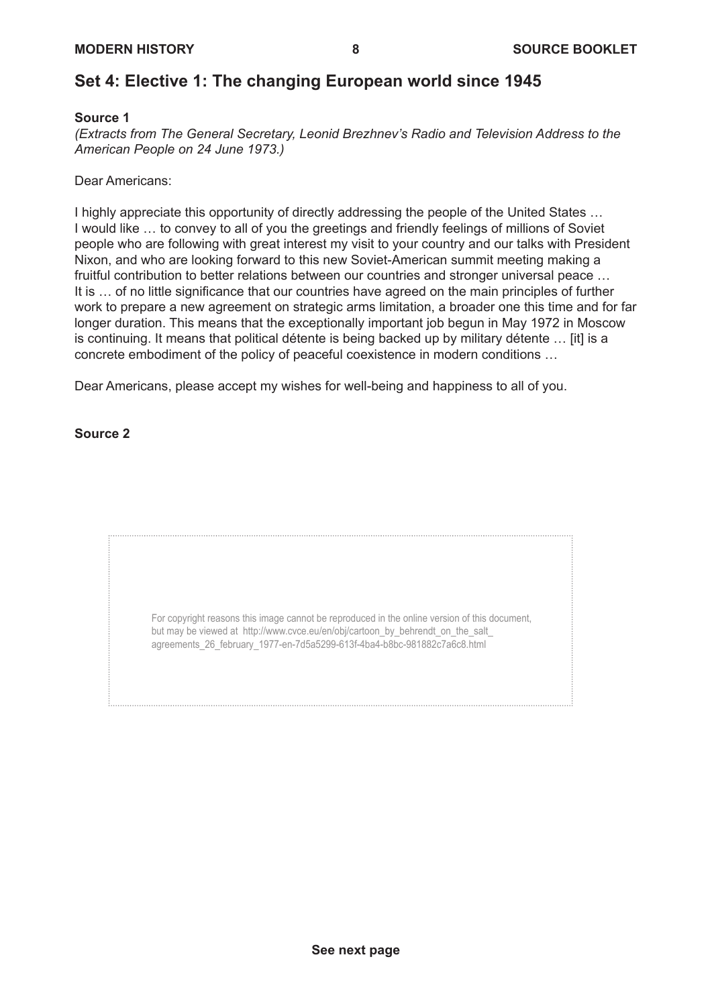# **Set 4: Elective 1: The changing European world since 1945**

# **Source 1**

*(Extracts from The General Secretary, Leonid Brezhnev's Radio and Television Address to the American People on 24 June 1973.)*

Dear Americans:

I highly appreciate this opportunity of directly addressing the people of the United States … I would like … to convey to all of you the greetings and friendly feelings of millions of Soviet people who are following with great interest my visit to your country and our talks with President Nixon, and who are looking forward to this new Soviet-American summit meeting making a fruitful contribution to better relations between our countries and stronger universal peace … It is … of no little significance that our countries have agreed on the main principles of further work to prepare a new agreement on strategic arms limitation, a broader one this time and for far longer duration. This means that the exceptionally important job begun in May 1972 in Moscow is continuing. It means that political détente is being backed up by military détente … [it] is a concrete embodiment of the policy of peaceful coexistence in modern conditions …

Dear Americans, please accept my wishes for well-being and happiness to all of you.

# **Source 2**

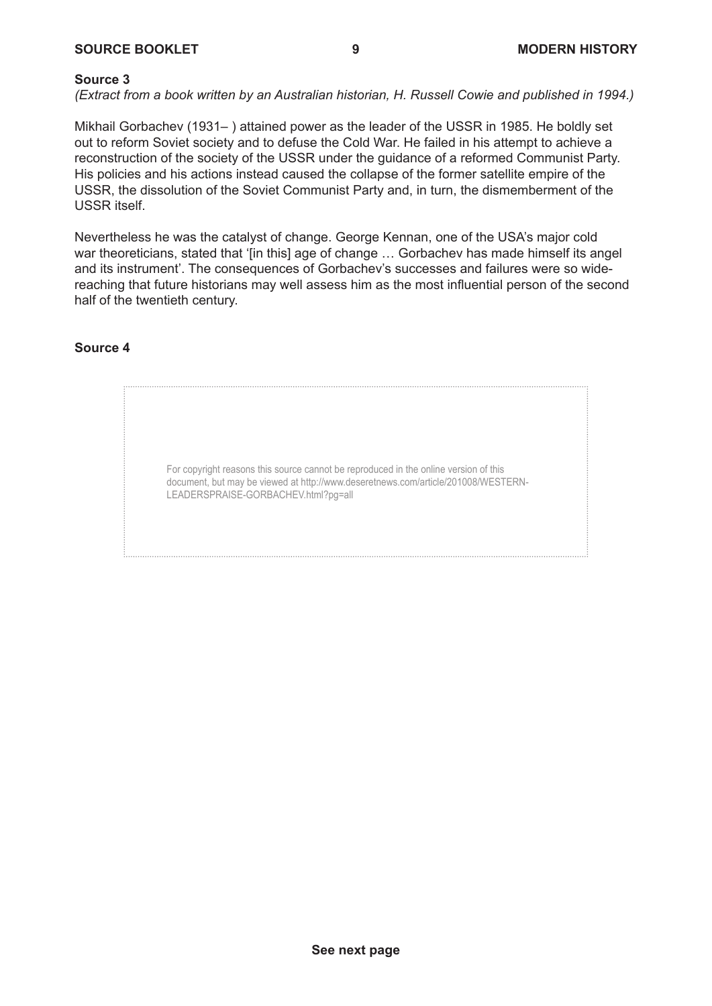# **Source 3**

*(Extract from a book written by an Australian historian, H. Russell Cowie and published in 1994.)*

Mikhail Gorbachev (1931– ) attained power as the leader of the USSR in 1985. He boldly set out to reform Soviet society and to defuse the Cold War. He failed in his attempt to achieve a reconstruction of the society of the USSR under the guidance of a reformed Communist Party. His policies and his actions instead caused the collapse of the former satellite empire of the USSR, the dissolution of the Soviet Communist Party and, in turn, the dismemberment of the USSR itself.

Nevertheless he was the catalyst of change. George Kennan, one of the USA's major cold war theoreticians, stated that '[in this] age of change ... Gorbachev has made himself its angel and its instrument'. The consequences of Gorbachev's successes and failures were so widereaching that future historians may well assess him as the most influential person of the second half of the twentieth century.

# **Source 4**

For copyright reasons this source cannot be reproduced in the online version of this document, but may be viewed at http://www.deseretnews.com/article/201008/WESTERN-LEADERSPRAISE-GORBACHEV.html?pg=all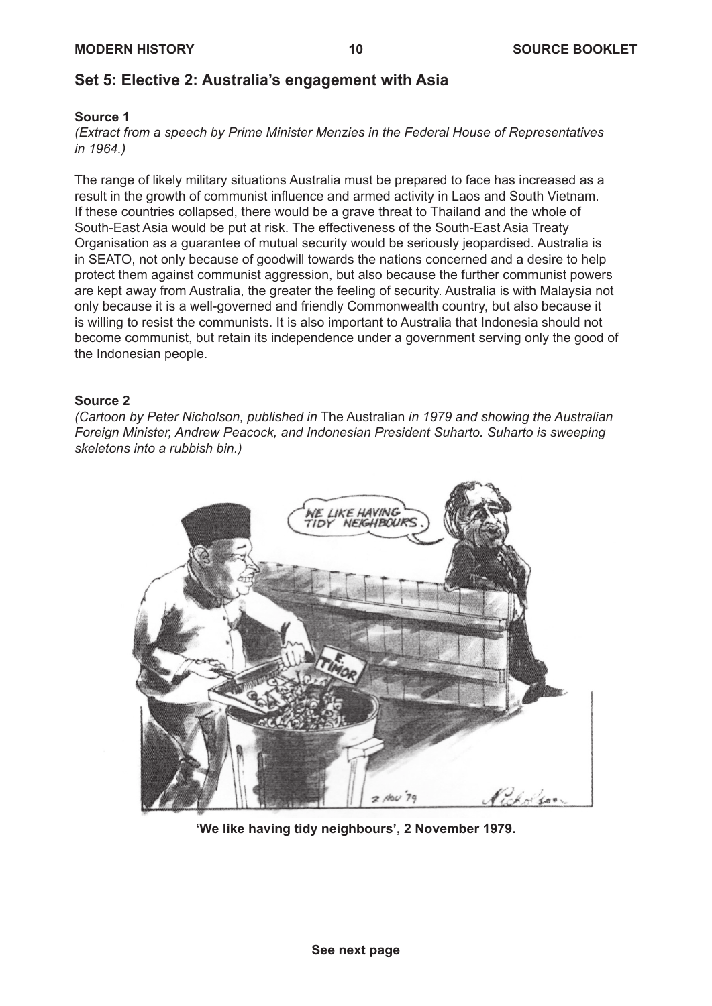# **Set 5: Elective 2: Australia's engagement with Asia**

# **Source 1**

*(Extract from a speech by Prime Minister Menzies in the Federal House of Representatives in 1964.)*

The range of likely military situations Australia must be prepared to face has increased as a result in the growth of communist influence and armed activity in Laos and South Vietnam. If these countries collapsed, there would be a grave threat to Thailand and the whole of South-East Asia would be put at risk. The effectiveness of the South-East Asia Treaty Organisation as a guarantee of mutual security would be seriously jeopardised. Australia is in SEATO, not only because of goodwill towards the nations concerned and a desire to help protect them against communist aggression, but also because the further communist powers are kept away from Australia, the greater the feeling of security. Australia is with Malaysia not only because it is a well-governed and friendly Commonwealth country, but also because it is willing to resist the communists. It is also important to Australia that Indonesia should not become communist, but retain its independence under a government serving only the good of the Indonesian people.

# **Source 2**

*(Cartoon by Peter Nicholson, published in* The Australian *in 1979 and showing the Australian Foreign Minister, Andrew Peacock, and Indonesian President Suharto. Suharto is sweeping skeletons into a rubbish bin.)*



**'We like having tidy neighbours', 2 November 1979.**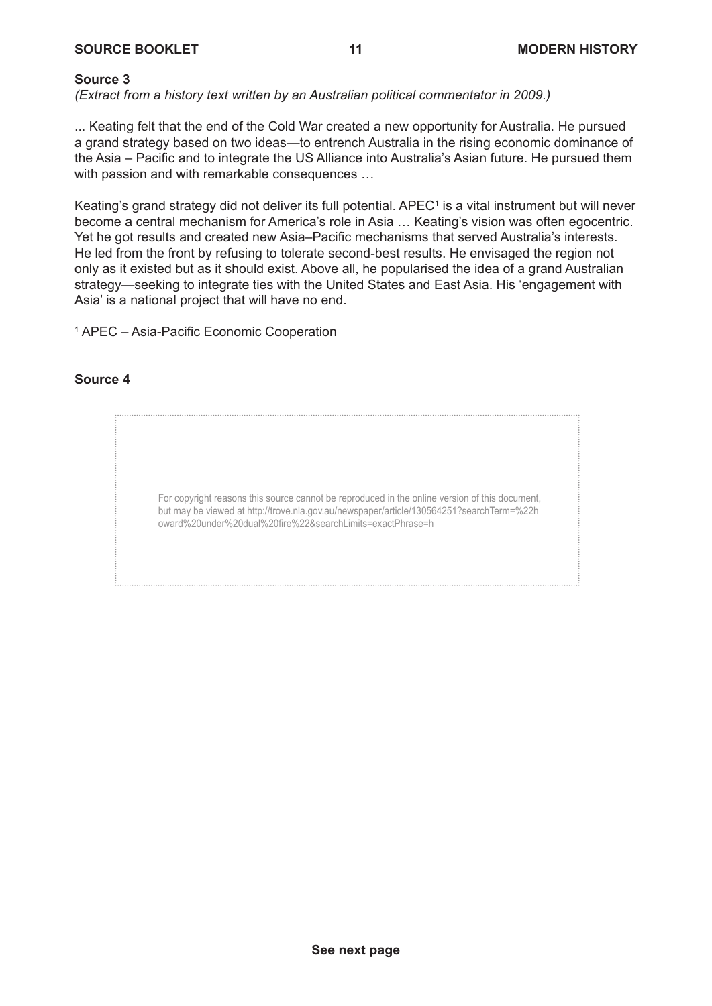# **SOURCE BOOKLET 11 MODERN HISTORY**

## **Source 3**

*(Extract from a history text written by an Australian political commentator in 2009.)*

... Keating felt that the end of the Cold War created a new opportunity for Australia. He pursued a grand strategy based on two ideas—to entrench Australia in the rising economic dominance of the Asia – Pacific and to integrate the US Alliance into Australia's Asian future. He pursued them with passion and with remarkable consequences …

Keating's grand strategy did not deliver its full potential. APEC1 is a vital instrument but will never become a central mechanism for America's role in Asia … Keating's vision was often egocentric. Yet he got results and created new Asia–Pacific mechanisms that served Australia's interests. He led from the front by refusing to tolerate second-best results. He envisaged the region not only as it existed but as it should exist. Above all, he popularised the idea of a grand Australian strategy—seeking to integrate ties with the United States and East Asia. His 'engagement with Asia' is a national project that will have no end.

1 APEC – Asia-Pacific Economic Cooperation

#### **Source 4**

For copyright reasons this source cannot be reproduced in the online version of this document, but may be viewed at http://trove.nla.gov.au/newspaper/article/130564251?searchTerm=%22h oward%20under%20dual%20fire%22&searchLimits=exactPhrase=h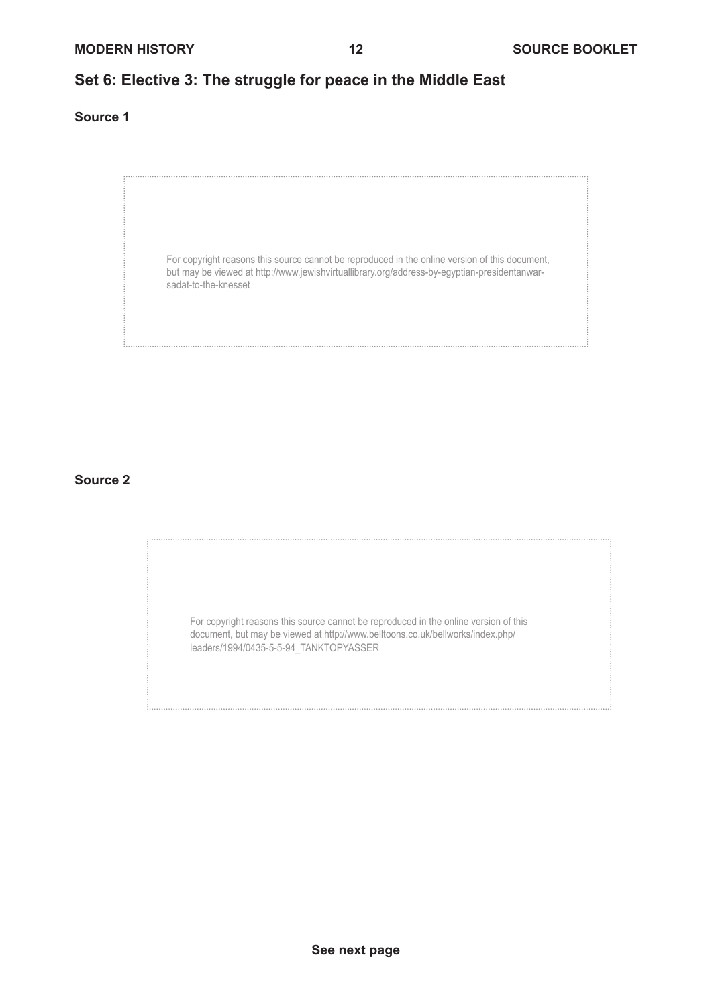# **Set 6: Elective 3: The struggle for peace in the Middle East**

# **Source 1**



# **Source 2**



**See next page**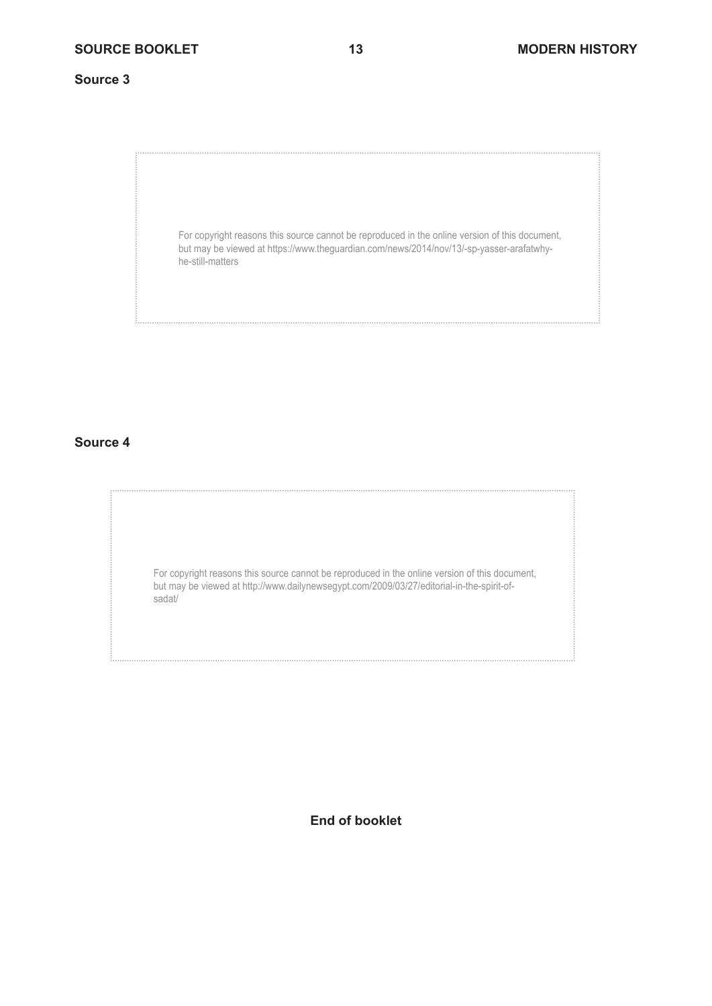**Source 3**



# **Source 4**



**End of booklet**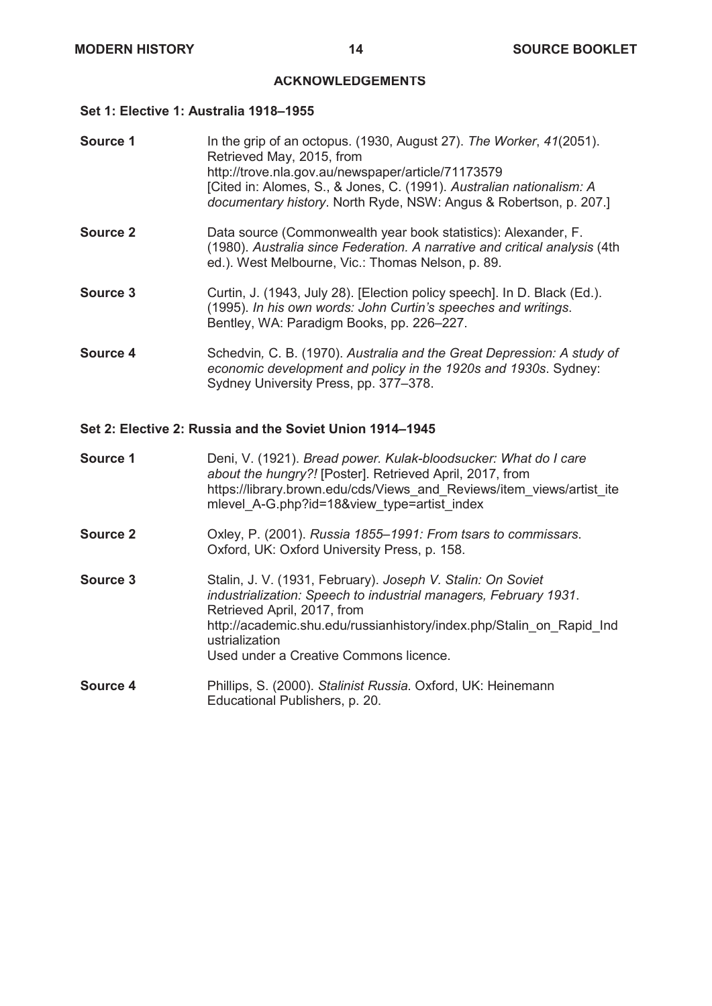# **ACKNOWLEDGEMENTS**

# **Set 1: Elective 1: Australia 1918–1955**

| Source 1 | In the grip of an octopus. (1930, August 27). The Worker, 41(2051).<br>Retrieved May, 2015, from<br>http://trove.nla.gov.au/newspaper/article/71173579<br>[Cited in: Alomes, S., & Jones, C. (1991). Australian nationalism: A<br>documentary history. North Ryde, NSW: Angus & Robertson, p. 207.] |
|----------|-----------------------------------------------------------------------------------------------------------------------------------------------------------------------------------------------------------------------------------------------------------------------------------------------------|
| Source 2 | Data source (Commonwealth year book statistics): Alexander, F.<br>(1980). Australia since Federation. A narrative and critical analysis (4th<br>ed.). West Melbourne, Vic.: Thomas Nelson, p. 89.                                                                                                   |
| Source 3 | Curtin, J. (1943, July 28). [Election policy speech]. In D. Black (Ed.).<br>(1995). In his own words: John Curtin's speeches and writings.<br>Bentley, WA: Paradigm Books, pp. 226-227.                                                                                                             |
| Source 4 | Schedvin, C. B. (1970). Australia and the Great Depression: A study of<br>economic development and policy in the 1920s and 1930s. Sydney:<br>Sydney University Press, pp. 377-378.                                                                                                                  |

# **Set 2: Elective 2: Russia and the Soviet Union 1914–1945**

| <b>Source 1</b> | Deni, V. (1921). Bread power. Kulak-bloodsucker: What do I care<br>about the hungry?! [Poster]. Retrieved April, 2017, from<br>https://library.brown.edu/cds/Views and Reviews/item views/artist ite<br>mlevel A-G.php?id=18&view type=artist index                                                |
|-----------------|----------------------------------------------------------------------------------------------------------------------------------------------------------------------------------------------------------------------------------------------------------------------------------------------------|
| <b>Source 2</b> | Oxley, P. (2001). Russia 1855–1991: From tsars to commissars.<br>Oxford, UK: Oxford University Press, p. 158.                                                                                                                                                                                      |
| <b>Source 3</b> | Stalin, J. V. (1931, February). Joseph V. Stalin: On Soviet<br>industrialization: Speech to industrial managers, February 1931.<br>Retrieved April, 2017, from<br>http://academic.shu.edu/russianhistory/index.php/Stalin on Rapid Ind<br>ustrialization<br>Used under a Creative Commons licence. |
| <b>Source 4</b> | Phillips, S. (2000). Stalinist Russia. Oxford, UK: Heinemann<br>Educational Publishers, p. 20.                                                                                                                                                                                                     |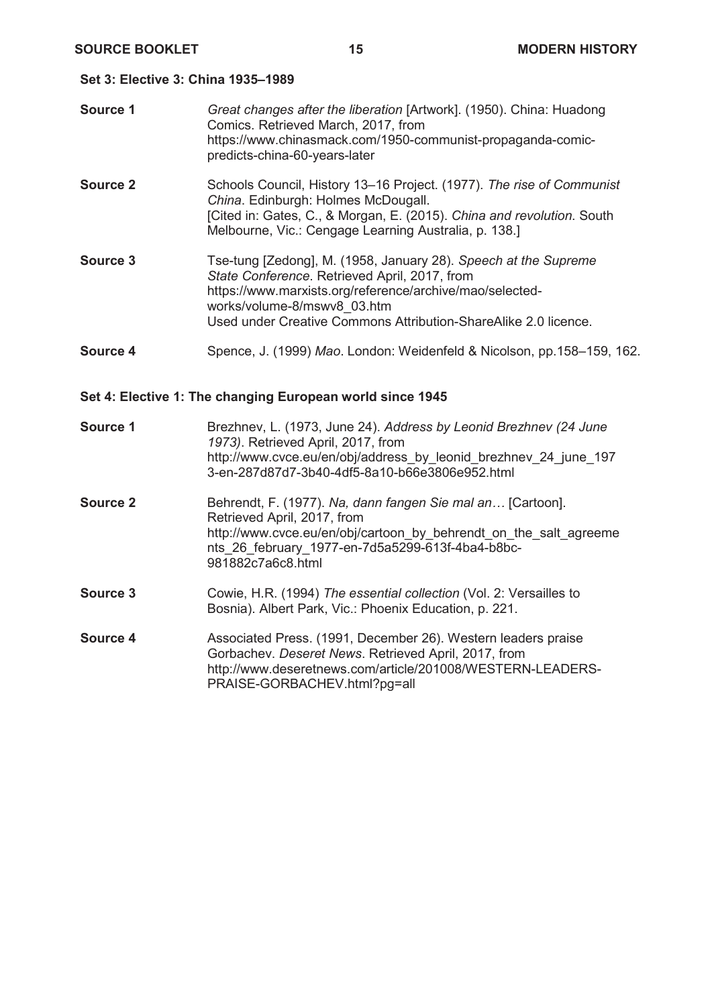## **Set 3: Elective 3: China 1935–1989**

| <b>Source 1</b> | Great changes after the liberation [Artwork]. (1950). China: Huadong<br>Comics. Retrieved March, 2017, from<br>https://www.chinasmack.com/1950-communist-propaganda-comic-<br>predicts-china-60-years-later                                                                    |
|-----------------|--------------------------------------------------------------------------------------------------------------------------------------------------------------------------------------------------------------------------------------------------------------------------------|
| <b>Source 2</b> | Schools Council, History 13–16 Project. (1977). The rise of Communist<br>China. Edinburgh: Holmes McDougall.<br>[Cited in: Gates, C., & Morgan, E. (2015). China and revolution. South<br>Melbourne, Vic.: Cengage Learning Australia, p. 138.]                                |
| <b>Source 3</b> | Tse-tung [Zedong], M. (1958, January 28). Speech at the Supreme<br>State Conference. Retrieved April, 2017, from<br>https://www.marxists.org/reference/archive/mao/selected-<br>works/volume-8/mswv8 03.htm<br>Used under Creative Commons Attribution-ShareAlike 2.0 licence. |
| <b>Source 4</b> | Spence, J. (1999) Mao. London: Weidenfeld & Nicolson, pp.158-159, 162.                                                                                                                                                                                                         |
|                 | Set 4: Elective 1: The changing European world since 1945                                                                                                                                                                                                                      |

**Source 1** Brezhnev, L. (1973, June 24). *Address by Leonid Brezhnev (24 June 1973)*. Retrieved April, 2017, from http://www.cvce.eu/en/obj/address\_by\_leonid\_brezhnev\_24\_june\_197 3-en-287d87d7-3b40-4df5-8a10-b66e3806e952.html

**Source 2** Behrendt, F. (1977). *Na, dann fangen Sie mal an…* [Cartoon]. Retrieved April, 2017, from http://www.cvce.eu/en/obj/cartoon\_by\_behrendt\_on\_the\_salt\_agreeme nts\_26\_february\_1977-en-7d5a5299-613f-4ba4-b8bc-981882c7a6c8.html

- **Source 3** Cowie, H.R. (1994) *The essential collection* (Vol. 2: Versailles to Bosnia). Albert Park, Vic.: Phoenix Education, p. 221.
- **Source 4** Associated Press. (1991, December 26). Western leaders praise Gorbachev. *Deseret News*. Retrieved April, 2017, from http://www.deseretnews.com/article/201008/WESTERN-LEADERS-PRAISE-GORBACHEV.html?pg=all